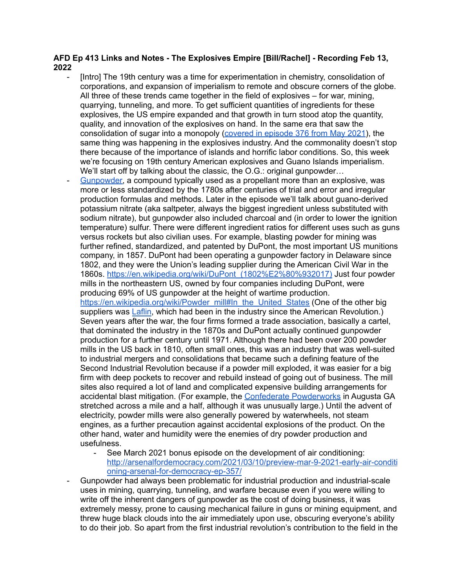## **AFD Ep 413 Links and Notes - The Explosives Empire [Bill/Rachel] - Recording Feb 13, 2022**

- [Intro] The 19th century was a time for experimentation in chemistry, consolidation of corporations, and expansion of imperialism to remote and obscure corners of the globe. All three of these trends came together in the field of explosives – for war, mining, quarrying, tunneling, and more. To get sufficient quantities of ingredients for these explosives, the US empire expanded and that growth in turn stood atop the quantity, quality, and innovation of the explosives on hand. In the same era that saw the consolidation of sugar into a monopoly [\(covered](http://arsenalfordemocracy.com/2021/05/23/may-23-2021-the-sugar-trust-arsenal-for-democracy-ep-376/) in episode 376 from May 2021), the same thing was happening in the explosives industry. And the commonality doesn't stop there because of the importance of islands and horrific labor conditions. So, this week we're focusing on 19th century American explosives and Guano Islands imperialism. We'll start off by talking about the classic, the O.G.: original gunpowder...
	- [Gunpowder,](https://en.wikipedia.org/wiki/Gunpowder#Components) a compound typically used as a propellant more than an explosive, was more or less standardized by the 1780s after centuries of trial and error and irregular production formulas and methods. Later in the episode we'll talk about guano-derived potassium nitrate (aka saltpeter, always the biggest ingredient unless substituted with sodium nitrate), but gunpowder also included charcoal and (in order to lower the ignition temperature) sulfur. There were different ingredient ratios for different uses such as guns versus rockets but also civilian uses. For example, blasting powder for mining was further refined, standardized, and patented by DuPont, the most important US munitions company, in 1857. DuPont had been operating a gunpowder factory in Delaware since 1802, and they were the Union's leading supplier during the American Civil War in the 1860s. [https://en.wikipedia.org/wiki/DuPont\\_\(1802%E2%80%932017\)](https://en.wikipedia.org/wiki/DuPont_(1802%E2%80%932017)) Just four powder mills in the northeastern US, owned by four companies including DuPont, were producing 69% of US gunpowder at the height of wartime production. [https://en.wikipedia.org/wiki/Powder\\_mill#In\\_the\\_United\\_States](https://en.wikipedia.org/wiki/Powder_mill#In_the_United_States) (One of the other big suppliers was [Laflin,](https://en.wikipedia.org/wiki/Laflin_%26_Rand_Powder_Company) which had been in the industry since the American Revolution.) Seven years after the war, the four firms formed a trade association, basically a cartel, that dominated the industry in the 1870s and DuPont actually continued gunpowder production for a further century until 1971. Although there had been over 200 powder mills in the US back in 1810, often small ones, this was an industry that was well-suited to industrial mergers and consolidations that became such a defining feature of the Second Industrial Revolution because if a powder mill exploded, it was easier for a big firm with deep pockets to recover and rebuild instead of going out of business. The mill sites also required a lot of land and complicated expensive building arrangements for accidental blast mitigation. (For example, the Confederate [Powderworks](https://en.wikipedia.org/wiki/Confederate_Powderworks) in Augusta GA stretched across a mile and a half, although it was unusually large.) Until the advent of electricity, powder mills were also generally powered by waterwheels, not steam engines, as a further precaution against accidental explosions of the product. On the other hand, water and humidity were the enemies of dry powder production and usefulness.
		- See March 2021 bonus episode on the development of air conditioning: [http://arsenalfordemocracy.com/2021/03/10/preview-mar-9-2021-early-air-conditi](http://arsenalfordemocracy.com/2021/03/10/preview-mar-9-2021-early-air-conditioning-arsenal-for-democracy-ep-357/) [oning-arsenal-for-democracy-ep-357/](http://arsenalfordemocracy.com/2021/03/10/preview-mar-9-2021-early-air-conditioning-arsenal-for-democracy-ep-357/)
- Gunpowder had always been problematic for industrial production and industrial-scale uses in mining, quarrying, tunneling, and warfare because even if you were willing to write off the inherent dangers of gunpowder as the cost of doing business, it was extremely messy, prone to causing mechanical failure in guns or mining equipment, and threw huge black clouds into the air immediately upon use, obscuring everyone's ability to do their job. So apart from the first industrial revolution's contribution to the field in the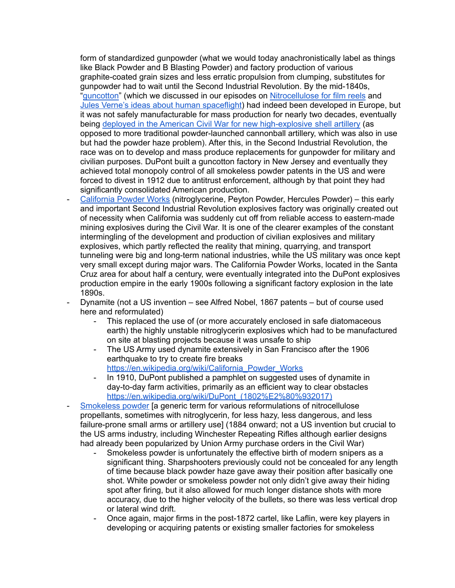form of standardized gunpowder (what we would today anachronistically label as things like Black Powder and B Blasting Powder) and factory production of various graphite-coated grain sizes and less erratic propulsion from clumping, substitutes for gunpowder had to wait until the Second Industrial Revolution. By the mid-1840s, "[guncotton"](https://en.wikipedia.org/wiki/Nitrocellulose#Guncotton) (which we discussed in our episodes on [Nitrocellulose](http://arsenalfordemocracy.com/2021/12/20/dec-19-2021-nitrocellulose-and-newsreels-arsenal-for-democracy-ep-404/) for film reels and Jules Verne's ideas about human [spaceflight](http://arsenalfordemocracy.com/2022/01/09/jan-9-2022-critical-space-theory-arsenal-for-democracy-ep-406/)) had indeed been developed in Europe, but it was not safely manufacturable for mass production for nearly two decades, eventually being deployed in the American Civil War for new [high-explosive](https://www.bbc.co.uk/history/worldwars/war_tech_gallery_04.shtml) shell artillery (as opposed to more traditional powder-launched cannonball artillery, which was also in use but had the powder haze problem). After this, in the Second Industrial Revolution, the race was on to develop and mass produce replacements for gunpowder for military and civilian purposes. DuPont built a guncotton factory in New Jersey and eventually they achieved total monopoly control of all smokeless powder patents in the US and were forced to divest in 1912 due to antitrust enforcement, although by that point they had significantly consolidated American production.

- [California](https://en.wikipedia.org/wiki/California_Powder_Works) Powder Works (nitroglycerine, Peyton Powder, Hercules Powder) this early and important Second Industrial Revolution explosives factory was originally created out of necessity when California was suddenly cut off from reliable access to eastern-made mining explosives during the Civil War. It is one of the clearer examples of the constant intermingling of the development and production of civilian explosives and military explosives, which partly reflected the reality that mining, quarrying, and transport tunneling were big and long-term national industries, while the US military was once kept very small except during major wars. The California Powder Works, located in the Santa Cruz area for about half a century, were eventually integrated into the DuPont explosives production empire in the early 1900s following a significant factory explosion in the late 1890s.
- Dynamite (not a US invention see Alfred Nobel, 1867 patents but of course used here and reformulated)
	- This replaced the use of (or more accurately enclosed in safe diatomaceous earth) the highly unstable nitroglycerin explosives which had to be manufactured on site at blasting projects because it was unsafe to ship
	- The US Army used dynamite extensively in San Francisco after the 1906 earthquake to try to create fire breaks [https://en.wikipedia.org/wiki/California\\_Powder\\_Works](https://en.wikipedia.org/wiki/California_Powder_Works)
	- In 1910, DuPont published a pamphlet on suggested uses of dynamite in day-to-day farm activities, primarily as an efficient way to clear obstacles https://en.wikipedia.org/wiki/DuPont (1802%E2%80%932017)
- [Smokeless](https://en.wikipedia.org/wiki/Smokeless_powder) powder [a generic term for various reformulations of nitrocellulose propellants, sometimes with nitroglycerin, for less hazy, less dangerous, and less failure-prone small arms or artillery use] (1884 onward; not a US invention but crucial to the US arms industry, including Winchester Repeating Rifles although earlier designs had already been popularized by Union Army purchase orders in the Civil War)
	- Smokeless powder is unfortunately the effective birth of modern snipers as a significant thing. Sharpshooters previously could not be concealed for any length of time because black powder haze gave away their position after basically one shot. White powder or smokeless powder not only didn't give away their hiding spot after firing, but it also allowed for much longer distance shots with more accuracy, due to the higher velocity of the bullets, so there was less vertical drop or lateral wind drift.
	- Once again, major firms in the post-1872 cartel, like Laflin, were key players in developing or acquiring patents or existing smaller factories for smokeless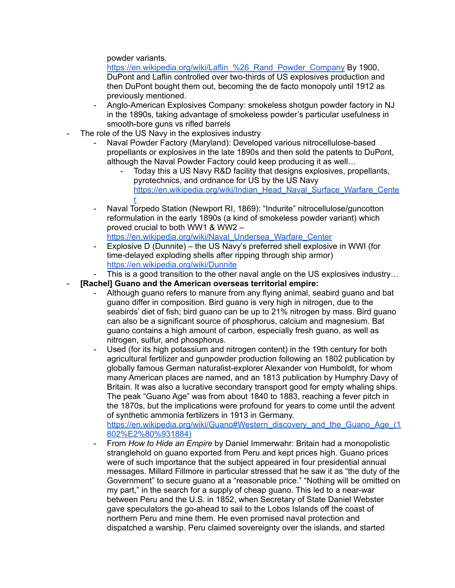powder variants.

https://en.wikipedia.org/wiki/Laflin %26 Rand Powder Company By 1900, DuPont and Laflin controlled over two-thirds of US explosives production and then DuPont bought them out, becoming the de facto monopoly until 1912 as previously mentioned.

- Anglo-American Explosives Company: smokeless shotgun powder factory in NJ in the 1890s, taking advantage of smokeless powder's particular usefulness in smooth-bore guns vs rifled barrels
- The role of the US Navy in the explosives industry
	- Naval Powder Factory (Maryland): Developed various nitrocellulose-based propellants or explosives in the late 1890s and then sold the patents to DuPont, although the Naval Powder Factory could keep producing it as well…
		- Today this a US Navy R&D facility that designs explosives, propellants, pyrotechnics, and ordnance for US by the US Navy [https://en.wikipedia.org/wiki/Indian\\_Head\\_Naval\\_Surface\\_Warfare\\_Cente](https://en.wikipedia.org/wiki/Indian_Head_Naval_Surface_Warfare_Center) [r](https://en.wikipedia.org/wiki/Indian_Head_Naval_Surface_Warfare_Center)
	- Naval Torpedo Station (Newport RI, 1869): "Indurite" nitrocellulose/guncotton reformulation in the early 1890s (a kind of smokeless powder variant) which proved crucial to both WW1 & WW2 – [https://en.wikipedia.org/wiki/Naval\\_Undersea\\_Warfare\\_Center](https://en.wikipedia.org/wiki/Naval_Undersea_Warfare_Center)
	- Explosive D (Dunnite) the US Navy's preferred shell explosive in WWI (for time-delayed exploding shells after ripping through ship armor) <https://en.wikipedia.org/wiki/Dunnite>
	- This is a good transition to the other naval angle on the US explosives industry...
- **[Rachel] Guano and the American overseas territorial empire:**
	- Although guano refers to manure from any flying animal, seabird guano and bat guano differ in composition. Bird guano is very high in nitrogen, due to the seabirds' diet of fish; bird guano can be up to 21% nitrogen by mass. Bird guano can also be a significant source of phosphorus, calcium and magnesium. Bat guano contains a high amount of carbon, especially fresh guano, as well as nitrogen, sulfur, and phosphorus.
	- Used (for its high potassium and nitrogen content) in the 19th century for both agricultural fertilizer and gunpowder production following an 1802 publication by globally famous German naturalist-explorer Alexander von Humboldt, for whom many American places are named, and an 1813 publication by Humphry Davy of Britain. It was also a lucrative secondary transport good for empty whaling ships. The peak "Guano Age" was from about 1840 to 1883, reaching a fever pitch in the 1870s, but the implications were profound for years to come until the advent of synthetic ammonia fertilizers in 1913 in Germany. [https://en.wikipedia.org/wiki/Guano#Western\\_discovery\\_and\\_the\\_Guano\\_Age\\_\(1](https://en.wikipedia.org/wiki/Guano#Western_discovery_and_the_Guano_Age_(1802%E2%80%931884))

[802%E2%80%931884\)](https://en.wikipedia.org/wiki/Guano#Western_discovery_and_the_Guano_Age_(1802%E2%80%931884))

- From *How to Hide an Empire* by Daniel Immerwahr: Britain had a monopolistic stranglehold on guano exported from Peru and kept prices high. Guano prices were of such importance that the subject appeared in four presidential annual messages. Millard Fillmore in particular stressed that he saw it as "the duty of the Government" to secure guano at a "reasonable price." "Nothing will be omitted on my part," in the search for a supply of cheap guano. This led to a near-war between Peru and the U.S. in 1852, when Secretary of State Daniel Webster gave speculators the go-ahead to sail to the Lobos Islands off the coast of northern Peru and mine them. He even promised naval protection and dispatched a warship. Peru claimed sovereignty over the islands, and started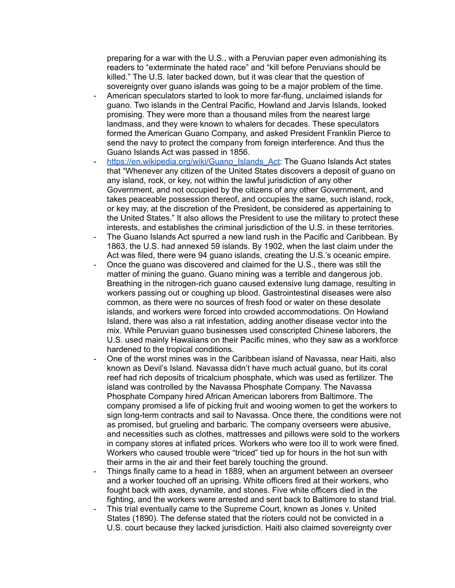preparing for a war with the U.S., with a Peruvian paper even admonishing its readers to "exterminate the hated race" and "kill before Peruvians should be killed." The U.S. later backed down, but it was clear that the question of sovereignty over guano islands was going to be a major problem of the time.

- American speculators started to look to more far-flung, unclaimed islands for guano. Two islands in the Central Pacific, Howland and Jarvis Islands, looked promising. They were more than a thousand miles from the nearest large landmass, and they were known to whalers for decades. These speculators formed the American Guano Company, and asked President Franklin Pierce to send the navy to protect the company from foreign interference. And thus the Guano Islands Act was passed in 1856.
- [https://en.wikipedia.org/wiki/Guano\\_Islands\\_Act:](https://en.wikipedia.org/wiki/Guano_Islands_Act) The Guano Islands Act states that "Whenever any citizen of the United States discovers a deposit of guano on any island, rock, or key, not within the lawful jurisdiction of any other Government, and not occupied by the citizens of any other Government, and takes peaceable possession thereof, and occupies the same, such island, rock, or key may, at the discretion of the President, be considered as appertaining to the United States." It also allows the President to use the military to protect these interests, and establishes the criminal jurisdiction of the U.S. in these territories.
- The Guano Islands Act spurred a new land rush in the Pacific and Caribbean. By 1863, the U.S. had annexed 59 islands. By 1902, when the last claim under the Act was filed, there were 94 guano islands, creating the U.S.'s oceanic empire.
- Once the guano was discovered and claimed for the U.S., there was still the matter of mining the guano. Guano mining was a terrible and dangerous job. Breathing in the nitrogen-rich guano caused extensive lung damage, resulting in workers passing out or coughing up blood. Gastrointestinal diseases were also common, as there were no sources of fresh food or water on these desolate islands, and workers were forced into crowded accommodations. On Howland Island, there was also a rat infestation, adding another disease vector into the mix. While Peruvian guano businesses used conscripted Chinese laborers, the U.S. used mainly Hawaiians on their Pacific mines, who they saw as a workforce hardened to the tropical conditions.
- One of the worst mines was in the Caribbean island of Navassa, near Haiti, also known as Devil's Island. Navassa didn't have much actual guano, but its coral reef had rich deposits of tricalcium phosphate, which was used as fertilizer. The island was controlled by the Navassa Phosphate Company. The Navassa Phosphate Company hired African American laborers from Baltimore. The company promised a life of picking fruit and wooing women to get the workers to sign long-term contracts and sail to Navassa. Once there, the conditions were not as promised, but grueling and barbaric. The company overseers were abusive, and necessities such as clothes, mattresses and pillows were sold to the workers in company stores at inflated prices. Workers who were too ill to work were fined. Workers who caused trouble were "triced" tied up for hours in the hot sun with their arms in the air and their feet barely touching the ground.
- Things finally came to a head in 1889, when an argument between an overseer and a worker touched off an uprising. White officers fired at their workers, who fought back with axes, dynamite, and stones. Five white officers died in the fighting, and the workers were arrested and sent back to Baltimore to stand trial.
- This trial eventually came to the Supreme Court, known as Jones v. United States (1890). The defense stated that the rioters could not be convicted in a U.S. court because they lacked jurisdiction. Haiti also claimed sovereignty over